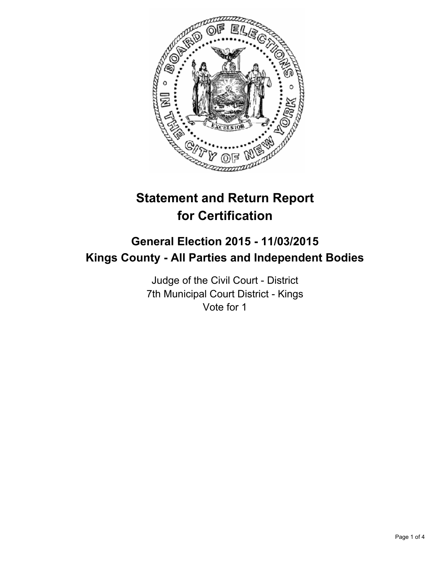

# **Statement and Return Report for Certification**

## **General Election 2015 - 11/03/2015 Kings County - All Parties and Independent Bodies**

Judge of the Civil Court - District 7th Municipal Court District - Kings Vote for 1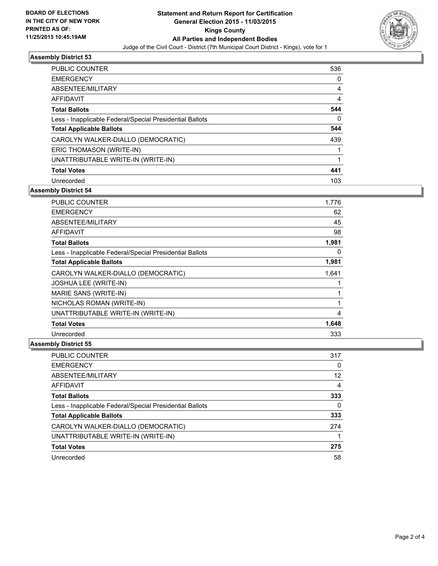

#### **Assembly District 53**

| <b>PUBLIC COUNTER</b>                                    | 536 |
|----------------------------------------------------------|-----|
| <b>EMERGENCY</b>                                         | 0   |
| ABSENTEE/MILITARY                                        | 4   |
| <b>AFFIDAVIT</b>                                         | 4   |
| <b>Total Ballots</b>                                     | 544 |
| Less - Inapplicable Federal/Special Presidential Ballots | 0   |
| <b>Total Applicable Ballots</b>                          | 544 |
| CAROLYN WALKER-DIALLO (DEMOCRATIC)                       | 439 |
| ERIC THOMASON (WRITE-IN)                                 |     |
| UNATTRIBUTABLE WRITE-IN (WRITE-IN)                       | 1   |
| <b>Total Votes</b>                                       | 441 |
| Unrecorded                                               | 103 |

**Assembly District 54**

| <b>PUBLIC COUNTER</b>                                    | 1,776 |
|----------------------------------------------------------|-------|
| <b>EMERGENCY</b>                                         | 62    |
| ABSENTEE/MILITARY                                        | 45    |
| <b>AFFIDAVIT</b>                                         | 98    |
| <b>Total Ballots</b>                                     | 1,981 |
| Less - Inapplicable Federal/Special Presidential Ballots | 0     |
| <b>Total Applicable Ballots</b>                          | 1,981 |
| CAROLYN WALKER-DIALLO (DEMOCRATIC)                       | 1,641 |
| <b>JOSHUA LEE (WRITE-IN)</b>                             | 1     |
| MARIE SANS (WRITE-IN)                                    | 1     |
| NICHOLAS ROMAN (WRITE-IN)                                | 1     |
| UNATTRIBUTABLE WRITE-IN (WRITE-IN)                       | 4     |
| <b>Total Votes</b>                                       | 1,648 |
| Unrecorded                                               | 333   |

### **Assembly District 55**

| <b>PUBLIC COUNTER</b>                                    | 317 |
|----------------------------------------------------------|-----|
| <b>EMERGENCY</b>                                         | 0   |
| ABSENTEE/MILITARY                                        | 12  |
| AFFIDAVIT                                                | 4   |
| <b>Total Ballots</b>                                     | 333 |
| Less - Inapplicable Federal/Special Presidential Ballots | 0   |
| <b>Total Applicable Ballots</b>                          | 333 |
| CAROLYN WALKER-DIALLO (DEMOCRATIC)                       | 274 |
| UNATTRIBUTABLE WRITE-IN (WRITE-IN)                       |     |
| <b>Total Votes</b>                                       | 275 |
| Unrecorded                                               | 58  |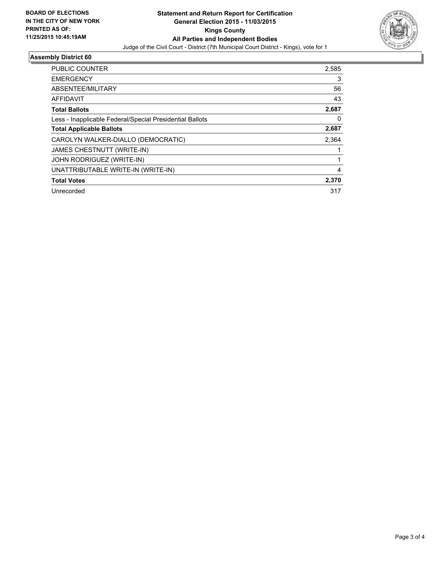

### **Assembly District 60**

| <b>PUBLIC COUNTER</b>                                    | 2,585 |
|----------------------------------------------------------|-------|
| <b>EMERGENCY</b>                                         | 3     |
| ABSENTEE/MILITARY                                        | 56    |
| <b>AFFIDAVIT</b>                                         | 43    |
| <b>Total Ballots</b>                                     | 2,687 |
| Less - Inapplicable Federal/Special Presidential Ballots | 0     |
| <b>Total Applicable Ballots</b>                          | 2,687 |
| CAROLYN WALKER-DIALLO (DEMOCRATIC)                       | 2,364 |
| <b>JAMES CHESTNUTT (WRITE-IN)</b>                        |       |
| <b>JOHN RODRIGUEZ (WRITE-IN)</b>                         |       |
| UNATTRIBUTABLE WRITE-IN (WRITE-IN)                       | 4     |
| <b>Total Votes</b>                                       | 2,370 |
| Unrecorded                                               | 317   |